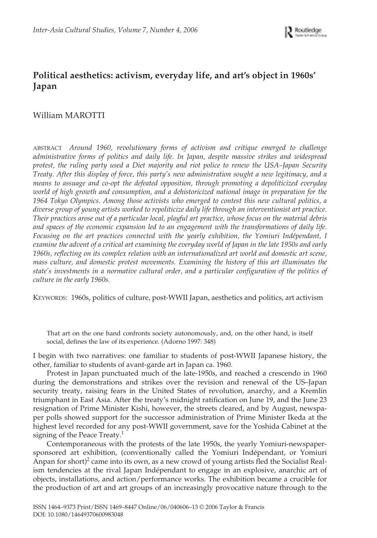# **Political aesthetics: activism, everyday life, and art's object in 1960s' Japan**

## William MAROTTI

ABSTRACT Around 1960, revolutionary forms of activism and critique emerged to challenge *administrative forms of politics and daily life. In Japan, despite massive strikes and widespread protest, the ruling party used a Diet majority and riot police to renew the USA–Japan Security Treaty. After this display of force, this party's new administration sought a new legitimacy, and a means to assuage and co-opt the defeated opposition, through promoting a depoliticized everyday world of high growth and consumption, and a dehistoricized national image in preparation for the 1964 Tokyo Olympics. Among those activists who emerged to contest this new cultural politics, a diverse group of young artists worked to repoliticize daily life through an interventionist art practice. Their practices arose out of a particular local, playful art practice, whose focus on the material debris and spaces of the economic expansion led to an engagement with the transformations of daily life. Focusing on the art practices connected with the yearly exhibition, the Yomiuri Indépendant, I examine the advent of a critical art examining the everyday world of Japan in the late 1950s and early 1960s, reflecting on its complex relation with an internationalized art world and domestic art scene, mass culture, and domestic protest movements. Examining the history of this art illuminates the state's investments in a normative cultural order, and a particular configuration of the politics of culture in the early 1960s.*

KEYWORDS: 1960s, politics of culture, post-WWII Japan, aesthetics and politics, art activism

That art on the one hand confronts society autonomously, and, on the other hand, is itself social, defines the law of its experience. (Adorno 1997: 348)

I begin with two narratives: one familiar to students of post-WWII Japanese history, the other, familiar to students of avant-garde art in Japan ca. 1960.

Protest in Japan punctuated much of the late-1950s, and reached a crescendo in 1960 during the demonstrations and strikes over the revision and renewal of the US–Japan security treaty, raising fears in the United States of revolution, anarchy, and a Kremlin triumphant in East Asia. After the treaty's midnight ratification on June 19, and the June 23 resignation of Prime Minister Kishi, however, the streets cleared, and by August, newspaper polls showed support for the successor administration of Prime Minister Ikeda at the highest level recorded for any post-WWII government, save for the Yoshida Cabinet at the signing of the Peace Treaty.<sup>1</sup>

Contemporaneous with the protests of the late 1950s, the yearly Yomiuri-newspapersponsored art exhibition, (conventionally called the Yomiuri Indépendant, or Yomiuri Anpan for short)<sup>2</sup> came into its own, as a new crowd of young artists fled the Socialist Realism tendencies at the rival Japan Indépendant to engage in an explosive, anarchic art of objects, installations, and action/performance works. The exhibition became a crucible for the production of art and art groups of an increasingly provocative nature through to the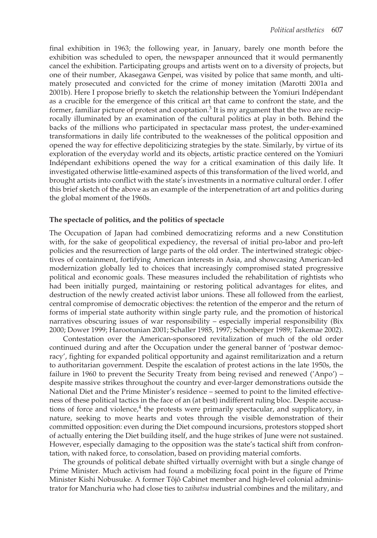final exhibition in 1963; the following year, in January, barely one month before the exhibition was scheduled to open, the newspaper announced that it would permanently cancel the exhibition. Participating groups and artists went on to a diversity of projects, but one of their number, Akasegawa Genpei, was visited by police that same month, and ultimately prosecuted and convicted for the crime of money imitation (Marotti 2001a and 2001b). Here I propose briefly to sketch the relationship between the Yomiuri Indépendant as a crucible for the emergence of this critical art that came to confront the state, and the former, familiar picture of protest and cooptation.<sup>3</sup> It is my argument that the two are reciprocally illuminated by an examination of the cultural politics at play in both. Behind the backs of the millions who participated in spectacular mass protest, the under-examined transformations in daily life contributed to the weaknesses of the political opposition and opened the way for effective depoliticizing strategies by the state. Similarly, by virtue of its exploration of the everyday world and its objects, artistic practice centered on the Yomiuri Indépendant exhibitions opened the way for a critical examination of this daily life. It investigated otherwise little-examined aspects of this transformation of the lived world, and brought artists into conflict with the state's investments in a normative cultural order. I offer this brief sketch of the above as an example of the interpenetration of art and politics during the global moment of the 1960s.

#### **The spectacle of politics, and the politics of spectacle**

The Occupation of Japan had combined democratizing reforms and a new Constitution with, for the sake of geopolitical expediency, the reversal of initial pro-labor and pro-left policies and the resurrection of large parts of the old order. The intertwined strategic objectives of containment, fortifying American interests in Asia, and showcasing American-led modernization globally led to choices that increasingly compromised stated progressive political and economic goals. These measures included the rehabilitation of rightists who had been initially purged, maintaining or restoring political advantages for elites, and destruction of the newly created activist labor unions. These all followed from the earliest, central compromise of democratic objectives: the retention of the emperor and the return of forms of imperial state authority within single party rule, and the promotion of historical narratives obscuring issues of war responsibility – especially imperial responsibility (Bix 2000; Dower 1999; Harootunian 2001; Schaller 1985, 1997; Schonberger 1989; Takemae 2002).

Contestation over the American-sponsored revitalization of much of the old order continued during and after the Occupation under the general banner of 'postwar democracy', fighting for expanded political opportunity and against remilitarization and a return to authoritarian government. Despite the escalation of protest actions in the late 1950s, the failure in 1960 to prevent the Security Treaty from being revised and renewed ('Anpo') – despite massive strikes throughout the country and ever-larger demonstrations outside the National Diet and the Prime Minister's residence – seemed to point to the limited effectiveness of these political tactics in the face of an (at best) indifferent ruling bloc. Despite accusations of force and violence, $4$  the protests were primarily spectacular, and supplicatory, in nature, seeking to move hearts and votes through the visible demonstration of their committed opposition: even during the Diet compound incursions, protestors stopped short of actually entering the Diet building itself, and the huge strikes of June were not sustained. However, especially damaging to the opposition was the state's tactical shift from confrontation, with naked force, to consolation, based on providing material comforts.

The grounds of political debate shifted virtually overnight with but a single change of Prime Minister. Much activism had found a mobilizing focal point in the figure of Prime Minister Kishi Nobusuke. A former Tôjô Cabinet member and high-level colonial administrator for Manchuria who had close ties to *zaibatsu* industrial combines and the military, and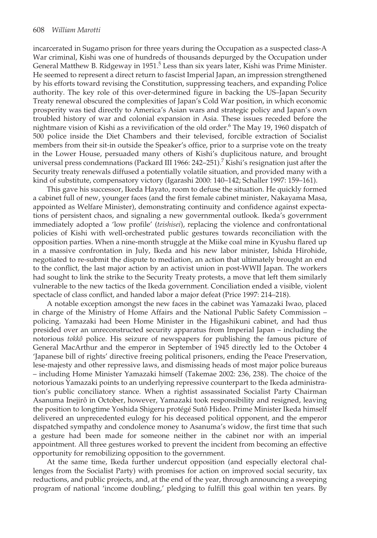incarcerated in Sugamo prison for three years during the Occupation as a suspected class-A War criminal, Kishi was one of hundreds of thousands depurged by the Occupation under General Matthew B. Ridgeway in  $1951<sup>5</sup>$  Less than six years later, Kishi was Prime Minister. He seemed to represent a direct return to fascist Imperial Japan, an impression strengthened by his efforts toward revising the Constitution, suppressing teachers, and expanding Police authority. The key role of this over-determined figure in backing the US–Japan Security Treaty renewal obscured the complexities of Japan's Cold War position, in which economic prosperity was tied directly to America's Asian wars and strategic policy and Japan's own troubled history of war and colonial expansion in Asia. These issues receded before the nightmare vision of Kishi as a revivification of the old order.<sup>6</sup> The May 19, 1960 dispatch of 500 police inside the Diet Chambers and their televised, forcible extraction of Socialist members from their sit-in outside the Speaker's office, prior to a surprise vote on the treaty in the Lower House, persuaded many others of Kishi's duplicitous nature, and brought universal press condemnations (Packard III 1966:  $242-251$ ). Kishi's resignation just after the Security treaty renewals diffused a potentially volatile situation, and provided many with a kind of substitute, compensatory victory (Igarashi 2000: 140–142; Schaller 1997: 159–161).

This gave his successor, Ikeda Hayato, room to defuse the situation. He quickly formed a cabinet full of new, younger faces (and the first female cabinet minister, Nakayama Masa, appointed as Welfare Minister), demonstrating continuity and confidence against expectations of persistent chaos, and signaling a new governmental outlook. Ikeda's government immediately adopted a 'low profile' (*teishisei*), replacing the violence and confrontational policies of Kishi with well-orchestrated public gestures towards reconciliation with the opposition parties. When a nine-month struggle at the Miike coal mine in Kyushu flared up in a massive confrontation in July, Ikeda and his new labor minister, Ishida Hirohide, negotiated to re-submit the dispute to mediation, an action that ultimately brought an end to the conflict, the last major action by an activist union in post-WWII Japan. The workers had sought to link the strike to the Security Treaty protests, a move that left them similarly vulnerable to the new tactics of the Ikeda government. Conciliation ended a visible, violent spectacle of class conflict, and handed labor a major defeat (Price 1997: 214–218).

A notable exception amongst the new faces in the cabinet was Yamazaki Iwao, placed in charge of the Ministry of Home Affairs and the National Public Safety Commission – policing. Yamazaki had been Home Minister in the Higashikuni cabinet, and had thus presided over an unreconstructed security apparatus from Imperial Japan – including the notorious *tokkô* police. His seizure of newspapers for publishing the famous picture of General MacArthur and the emperor in September of 1945 directly led to the October 4 'Japanese bill of rights' directive freeing political prisoners, ending the Peace Preservation, lese-majesty and other repressive laws, and dismissing heads of most major police bureaus – including Home Minister Yamazaki himself (Takemae 2002: 236, 238). The choice of the notorious Yamazaki points to an underlying repressive counterpart to the Ikeda administration's public conciliatory stance. When a rightist assassinated Socialist Party Chairman Asanuma Inejirô in October, however, Yamazaki took responsibility and resigned, leaving the position to longtime Yoshida Shigeru protégé Sutô Hideo. Prime Minister Ikeda himself delivered an unprecedented eulogy for his deceased political opponent, and the emperor dispatched sympathy and condolence money to Asanuma's widow, the first time that such a gesture had been made for someone neither in the cabinet nor with an imperial appointment. All three gestures worked to prevent the incident from becoming an effective opportunity for remobilizing opposition to the government.

At the same time, Ikeda further undercut opposition (and especially electoral challenges from the Socialist Party) with promises for action on improved social security, tax reductions, and public projects, and, at the end of the year, through announcing a sweeping program of national 'income doubling,' pledging to fulfill this goal within ten years. By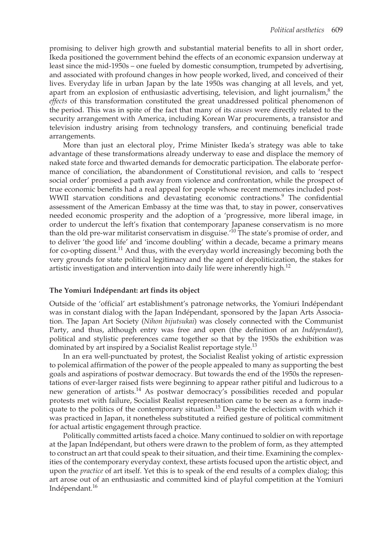promising to deliver high growth and substantial material benefits to all in short order, Ikeda positioned the government behind the effects of an economic expansion underway at least since the mid-1950s – one fueled by domestic consumption, trumpeted by advertising, and associated with profound changes in how people worked, lived, and conceived of their lives. Everyday life in urban Japan by the late 1950s was changing at all levels, and yet, apart from an explosion of enthusiastic advertising, television, and light journalism, $\delta$  the *effects* of this transformation constituted the great unaddressed political phenomenon of the period. This was in spite of the fact that many of its *causes* were directly related to the security arrangement with America, including Korean War procurements, a transistor and television industry arising from technology transfers, and continuing beneficial trade arrangements.

More than just an electoral ploy, Prime Minister Ikeda's strategy was able to take advantage of these transformations already underway to ease and displace the memory of naked state force and thwarted demands for democratic participation. The elaborate performance of conciliation, the abandonment of Constitutional revision, and calls to 'respect social order' promised a path away from violence and confrontation, while the prospect of true economic benefits had a real appeal for people whose recent memories included post-WWII starvation conditions and devastating economic contractions.<sup>9</sup> The confidential assessment of the American Embassy at the time was that, to stay in power, conservatives needed economic prosperity and the adoption of a 'progressive, more liberal image, in order to undercut the left's fixation that contemporary Japanese conservatism is no more than the old pre-war militarist conservatism in disguise.'10 The state's promise of order, and to deliver 'the good life' and 'income doubling' within a decade, became a primary means for co-opting dissent.<sup>11</sup> And thus, with the everyday world increasingly becoming both the very grounds for state political legitimacy and the agent of depoliticization, the stakes for artistic investigation and intervention into daily life were inherently high.<sup>12</sup>

#### **The Yomiuri Indépendant: art finds its object**

Outside of the 'official' art establishment's patronage networks, the Yomiuri Indépendant was in constant dialog with the Japan Indépendant, sponsored by the Japan Arts Association. The Japan Art Society (*Nihon bijutsukai*) was closely connected with the Communist Party, and thus, although entry was free and open (the definition of an *Indépendant*), political and stylistic preferences came together so that by the 1950s the exhibition was dominated by art inspired by a Socialist Realist reportage style.<sup>13</sup>

In an era well-punctuated by protest, the Socialist Realist yoking of artistic expression to polemical affirmation of the power of the people appealed to many as supporting the best goals and aspirations of postwar democracy. But towards the end of the 1950s the representations of ever-larger raised fists were beginning to appear rather pitiful and ludicrous to a new generation of artists.14 As postwar democracy's possibilities receded and popular protests met with failure, Socialist Realist representation came to be seen as a form inadequate to the politics of the contemporary situation.<sup>15</sup> Despite the eclecticism with which it was practiced in Japan, it nonetheless substituted a reified gesture of political commitment for actual artistic engagement through practice.

Politically committed artists faced a choice. Many continued to soldier on with reportage at the Japan Indépendant, but others were drawn to the problem of form, as they attempted to construct an art that could speak to their situation, and their time. Examining the complexities of the contemporary everyday context, these artists focused upon the artistic object, and upon the *practice* of art itself. Yet this is to speak of the end results of a complex dialog; this art arose out of an enthusiastic and committed kind of playful competition at the Yomiuri Indépendant.16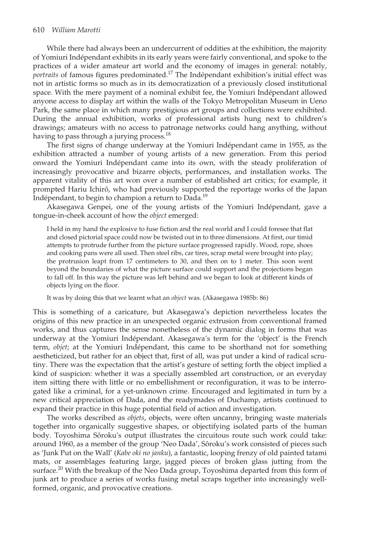While there had always been an undercurrent of oddities at the exhibition, the majority of Yomiuri Indépendant exhibits in its early years were fairly conventional, and spoke to the practices of a wider amateur art world and the economy of images in general: notably, *portraits* of famous figures predominated.<sup>17</sup> The Indépendant exhibition's initial effect was not in artistic forms so much as in its democratization of a previously closed institutional space. With the mere payment of a nominal exhibit fee, the Yomiuri Indépendant allowed anyone access to display art within the walls of the Tokyo Metropolitan Museum in Ueno Park, the same place in which many prestigious art groups and collections were exhibited. During the annual exhibition, works of professional artists hung next to children's drawings; amateurs with no access to patronage networks could hang anything, without having to pass through a jurying process. $^{18}$ 

The first signs of change underway at the Yomiuri Indépendant came in 1955, as the exhibition attracted a number of young artists of a new generation. From this period onward the Yomiuri Indépendant came into its own, with the steady proliferation of increasingly provocative and bizarre objects, performances, and installation works. The apparent vitality of this art won over a number of established art critics; for example, it prompted Hariu Ichirô, who had previously supported the reportage works of the Japan Indépendant, to begin to champion a return to Dada.<sup>19</sup>

Akasegawa Genpei, one of the young artists of the Yomiuri Indépendant, gave a tongue-in-cheek account of how the *object* emerged:

I held in my hand the explosive to fuse fiction and the real world and I could foresee that flat and closed pictorial space could now be twisted out in to three dimensions. At first, our timid attempts to protrude further from the picture surface progressed rapidly. Wood, rope, shoes and cooking pans were all used. Then steel ribs, car tires, scrap metal were brought into play; the protrusion leapt from 17 centimeters to 30, and then on to 1 meter. This soon went beyond the boundaries of what the picture surface could support and the projections began to fall off. In this way the picture was left behind and we began to look at different kinds of objects lying on the floor.

It was by doing this that we learnt what an *object* was. (Akasegawa 1985b: 86)

This is something of a caricature, but Akasegawa's depiction nevertheless locates the origins of this new practice in an unexpected organic extrusion from conventional framed works, and thus captures the sense nonetheless of the dynamic dialog in forms that was underway at the Yomiuri Indépendant. Akasegawa's term for the 'object' is the French term, *objet*; at the Yomiuri Indépendant, this came to be shorthand not for something aestheticized, but rather for an object that, first of all, was put under a kind of radical scrutiny. There was the expectation that the artist's gesture of setting forth the object implied a kind of suspicion: whether it was a specially assembled art construction, or an everyday item sitting there with little or no embellishment or reconfiguration, it was to be interrogated like a criminal, for a yet-unknown crime. Encouraged and legitimated in turn by a new critical appreciation of Dada, and the readymades of Duchamp, artists continued to expand their practice in this huge potential field of action and investigation.

The works described as *objets*, objects, were often uncanny, bringing waste materials together into organically suggestive shapes, or objectifying isolated parts of the human body. Toyoshima Sôroku's output illustrates the circuitous route such work could take: around 1960, as a member of the group 'Neo Dada', Sôroku's work consisted of pieces such as 'Junk Put on the Wall' (*Kabe oki no janku*), a fantastic, looping frenzy of old painted tatami mats, or assemblages featuring large, jagged pieces of broken glass jutting from the surface.<sup>20</sup> With the breakup of the Neo Dada group, Toyoshima departed from this form of junk art to produce a series of works fusing metal scraps together into increasingly wellformed, organic, and provocative creations.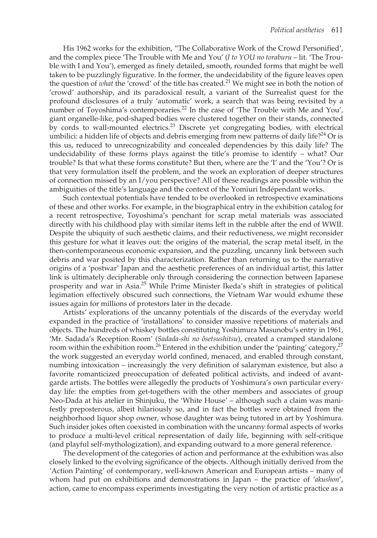His 1962 works for the exhibition, "The Collaborative Work of the Crowd Personified', and the complex piece 'The Trouble with Me and You' (*I to YOU no toraburu* – lit. 'The Trouble with I and You'), emerged as finely detailed, smooth, rounded forms that might be well taken to be puzzlingly figurative. In the former, the undecidability of the figure leaves open the question of *what* the 'crowd' of the title has created.<sup>21</sup> We might see in both the notion of 'crowd' authorship, and its paradoxical result, a variant of the Surrealist quest for the profound disclosures of a truly 'automatic' work, a search that was being revisited by a number of Toyoshima's contemporaries.<sup>22</sup> In the case of 'The Trouble with Me and You', giant organelle-like, pod-shaped bodies were clustered together on their stands, connected by cords to wall-mounted electrics.<sup>23</sup> Discrete yet congregating bodies, with electrical umbilici: a hidden life of objects and debris emerging from new patterns of daily life?<sup>24</sup> Or is this us, reduced to unrecognizability and concealed dependencies by this daily life? The undecidability of these forms plays against the title's promise to identify – what? Our trouble? Is that what these forms constitute? But then, where are the 'I' and the 'You'? Or is that very formulation itself the problem, and the work an exploration of deeper structures of connection missed by an I/you perspective? All of these readings are possible within the ambiguities of the title's language and the context of the Yomiuri Indépendant works.

Such contextual potentials have tended to be overlooked in retrospective examinations of these and other works. For example, in the biographical entry in the exhibition catalog for a recent retrospective, Toyoshima's penchant for scrap metal materials was associated directly with his childhood play with similar items left in the rubble after the end of WWII. Despite the ubiquity of such aesthetic claims, and their reductiveness, we might reconsider this gesture for what it leaves out: the origins of the material, the scrap metal itself, in the then-contemporaneous economic expansion, and the puzzling, uncanny link between such debris and war posited by this characterization. Rather than returning us to the narrative origins of a 'postwar' Japan and the aesthetic preferences of an individual artist, this latter link is ultimately decipherable only through considering the connection between Japanese prosperity and war in Asia.25 While Prime Minister Ikeda's shift in strategies of political legimation effectively obscured such connections, the Vietnam War would exhume these issues again for millions of protestors later in the decade.

Artists' explorations of the uncanny potentials of the discards of the everyday world expanded in the practice of 'installations' to consider massive repetitions of materials and objects. The hundreds of whiskey bottles constituting Yoshimura Masunobu's entry in 1961, 'Mr. Sadada's Reception Room' (*Sadada-shi no ôsetsushitsu*), created a cramped standalone room within the exhibition room.<sup>26</sup> Entered in the exhibition under the 'painting' category,<sup>27</sup> the work suggested an everyday world confined, menaced, and enabled through constant, numbing intoxication – increasingly the very definition of salaryman existence, but also a favorite romanticized preoccupation of defeated political activists, and indeed of avantgarde artists. The bottles were allegedly the products of Yoshimura's own particular everyday life: the empties from get-togethers with the other members and associates of group Neo-Dada at his atelier in Shinjuku, the 'White House' – although such a claim was manifestly preposterous, albeit hilariously so, and in fact the bottles were obtained from the neighborhood liquor shop owner, whose daughter was being tutored in art by Yoshimura. Such insider jokes often coexisted in combination with the uncanny formal aspects of works to produce a multi-level critical representation of daily life, beginning with self-critique (and playful self-mythologization), and expanding outward to a more general reference.

The development of the categories of action and performance at the exhibition was also closely linked to the evolving significance of the objects. Although initially derived from the 'Action Painting' of contemporary, well-known American and European artists – many of whom had put on exhibitions and demonstrations in Japan – the practice of '*akushon*', action, came to encompass experiments investigating the very notion of artistic practice as a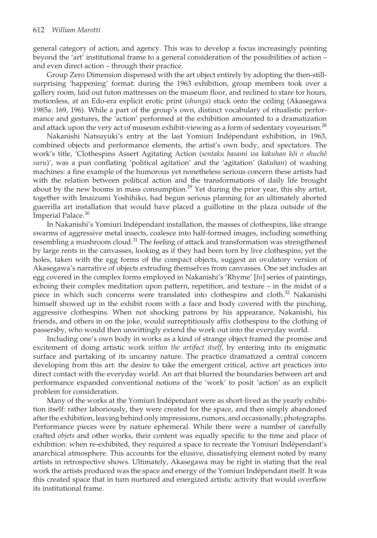general category of action, and agency. This was to develop a focus increasingly pointing beyond the 'art' institutional frame to a general consideration of the possibilities of action – and even direct action – through their practice.

Group Zero Dimension dispensed with the art object entirely by adopting the then-stillsurprising 'happening' format: during the 1963 exhibition, group members took over a gallery room, laid out futon mattresses on the museum floor, and reclined to stare for hours, motionless, at an Edo-era explicit erotic print (*shunga*) stuck onto the ceiling (Akasegawa 1985a: 169, 196). While a part of the group's own, distinct vocabulary of ritualistic performance and gestures, the 'action' performed at the exhibition amounted to a dramatization and attack upon the very act of museum exhibit-viewing as a form of sedentary voyeurism.<sup>28</sup>

Nakanishi Natsuyuki's entry at the last Yomiuri Indépendant exhibition, in 1963, combined objects and performance elements, the artist's own body, and spectators. The work's title, 'Clothespins Assert Agitating Action (*sentaku basami wa kakuhan kôi o shuchô suru*)', was a pun conflating 'political agitation' and the 'agitation' (*kakuhan*) of washing machines: a fine example of the humorous yet nonetheless serious concern these artists had with the relation between political action and the transformations of daily life brought about by the new booms in mass consumption.<sup>29</sup> Yet during the prior year, this shy artist, together with Imaizumi Yoshihiko, had begun serious planning for an ultimately aborted guerrilla art installation that would have placed a guillotine in the plaza outside of the Imperial Palace.<sup>30</sup>

In Nakanishi's Yomiuri Indépendant installation, the masses of clothespins, like strange swarms of aggressive metal insects, coalesce into half-formed images, including something resembling a mushroom cloud.<sup>31</sup> The feeling of attack and transformation was strengthened by large rents in the canvasses, looking as if they had been torn by live clothespins; yet the holes, taken with the egg forms of the compact objects, suggest an ovulatory version of Akasegawa's narrative of objects extruding themselves from canvasses. One set includes an egg covered in the complex forms employed in Nakanishi's 'Rhyme' [*In*] series of paintings, echoing their complex meditation upon pattern, repetition, and texture – in the midst of a piece in which such concerns were translated into clothespins and cloth.<sup>32</sup> Nakanishi himself showed up in the exhibit room with a face and body covered with the pinching, aggressive clothespins. When not shocking patrons by his appearance, Nakanishi, his friends, and others in on the joke, would surreptitiously affix clothespins to the clothing of passersby, who would then unwittingly extend the work out into the everyday world.

Including one's own body in works as a kind of strange object framed the promise and excitement of doing artistic work *within the artifact itself*, by entering into its enigmatic surface and partaking of its uncanny nature. The practice dramatized a central concern developing from this art: the desire to take the emergent critical, active art practices into direct contact with the everyday world. An art that blurred the boundaries between art and performance expanded conventional notions of the 'work' to posit 'action' as an explicit problem for consideration.

Many of the works at the Yomiuri Indépendant were as short-lived as the yearly exhibition itself: rather laboriously, they were created for the space, and then simply abandoned after the exhibition, leaving behind only impressions, rumors, and occasionally, photographs. Performance pieces were by nature ephemeral. While there were a number of carefully crafted *objets* and other works, their content was equally specific to the time and place of exhibition: when re-exhibited, they required a space to recreate the Yomiuri Indépendant's anarchical atmosphere. This accounts for the elusive, dissatisfying element noted by many artists in retrospective shows. Ultimately, Akasegawa may be right in stating that the real work the artists produced was the space and energy of the Yomiuri Indépendant itself. It was this created space that in turn nurtured and energized artistic activity that would overflow its institutional frame.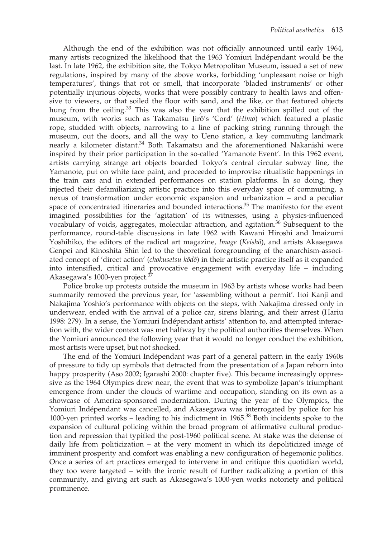Although the end of the exhibition was not officially announced until early 1964, many artists recognized the likelihood that the 1963 Yomiuri Indépendant would be the last. In late 1962, the exhibition site, the Tokyo Metropolitan Museum, issued a set of new regulations, inspired by many of the above works, forbidding 'unpleasant noise or high temperatures', things that rot or smell, that incorporate 'bladed instruments' or other potentially injurious objects, works that were possibly contrary to health laws and offensive to viewers, or that soiled the floor with sand, and the like, or that featured objects hung from the ceiling. $33$  This was also the year that the exhibition spilled out of the museum, with works such as Takamatsu Jirô's 'Cord' (*Himo*) which featured a plastic rope, studded with objects, narrowing to a line of packing string running through the museum, out the doors, and all the way to Ueno station, a key commuting landmark nearly a kilometer distant.<sup>34</sup> Both Takamatsu and the aforementioned Nakanishi were inspired by their prior participation in the so-called 'Yamanote Event'. In this 1962 event, artists carrying strange art objects boarded Tokyo's central circular subway line, the Yamanote, put on white face paint, and proceeded to improvise ritualistic happenings in the train cars and in extended performances on station platforms. In so doing, they injected their defamiliarizing artistic practice into this everyday space of commuting, a nexus of transformation under economic expansion and urbanization – and a peculiar space of concentrated itineraries and bounded interactions.<sup>35</sup> The manifesto for the event imagined possibilities for the 'agitation' of its witnesses, using a physics-influenced vocabulary of voids, aggregates, molecular attraction, and agitation.<sup>36</sup> Subsequent to the performance, round-table discussions in late 1962 with Kawani Hiroshi and Imaizumi Yoshihiko, the editors of the radical art magazine, *Image* (*Keishô*), and artists Akasegawa Genpei and Kinoshita Shin led to the theoretical foregrounding of the anarchism-associated concept of 'direct action' (*chokusetsu kôdô*) in their artistic practice itself as it expanded into intensified, critical and provocative engagement with everyday life – including Akasegawa's 1000-yen project.37

Police broke up protests outside the museum in 1963 by artists whose works had been summarily removed the previous year, for 'assembling without a permit'. Itoi Kanji and Nakajima Yoshio's performance with objects on the steps, with Nakajima dressed only in underwear, ended with the arrival of a police car, sirens blaring, and their arrest (Hariu 1998: 279). In a sense, the Yomiuri Indépendant artists' attention to, and attempted interaction with, the wider context was met halfway by the political authorities themselves. When the Yomiuri announced the following year that it would no longer conduct the exhibition, most artists were upset, but not shocked.

The end of the Yomiuri Indépendant was part of a general pattern in the early 1960s of pressure to tidy up symbols that detracted from the presentation of a Japan reborn into happy prosperity (Aso 2002; Igarashi 2000: chapter five). This became increasingly oppressive as the 1964 Olympics drew near, the event that was to symbolize Japan's triumphant emergence from under the clouds of wartime and occupation, standing on its own as a showcase of America-sponsored modernization. During the year of the Olympics, the Yomiuri Indépendant was cancelled, and Akasegawa was interrogated by police for his 1000-yen printed works – leading to his indictment in  $1965<sup>38</sup>$  Both incidents spoke to the expansion of cultural policing within the broad program of affirmative cultural production and repression that typified the post-1960 political scene. At stake was the defense of daily life from politicization – at the very moment in which its depoliticized image of imminent prosperity and comfort was enabling a new configuration of hegemonic politics. Once a series of art practices emerged to intervene in and critique this quotidian world, they too were targeted – with the ironic result of further radicalizing a portion of this community, and giving art such as Akasegawa's 1000-yen works notoriety and political prominence.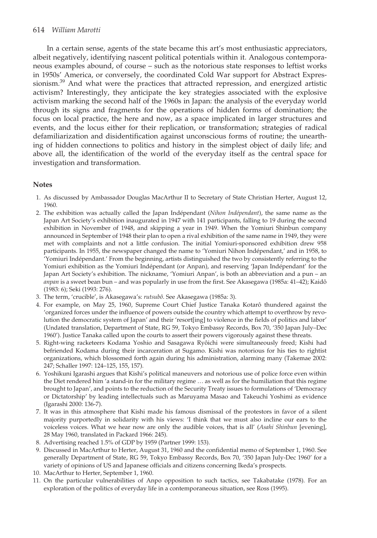In a certain sense, agents of the state became this art's most enthusiastic appreciators, albeit negatively, identifying nascent political potentials within it. Analogous contemporaneous examples abound, of course – such as the notorious state responses to leftist works in 1950s' America, or conversely, the coordinated Cold War support for Abstract Expressionism. $39$  And what were the practices that attracted repression, and energized artistic activism? Interestingly, they anticipate the key strategies associated with the explosive activism marking the second half of the 1960s in Japan: the analysis of the everyday world through its signs and fragments for the operations of hidden forms of domination; the focus on local practice, the here and now, as a space implicated in larger structures and events, and the locus either for their replication, or transformation; strategies of radical defamiliarization and disidentification against unconscious forms of routine; the unearthing of hidden connections to politics and history in the simplest object of daily life; and above all, the identification of the world of the everyday itself as the central space for investigation and transformation.

#### **Notes**

- 1. As discussed by Ambassador Douglas MacArthur II to Secretary of State Christian Herter, August 12, 1960.
- 2. The exhibition was actually called the Japan Indépendant (*Nihon Indépendant*), the same name as the Japan Art Society's exhibition inaugurated in 1947 with 141 participants, falling to 19 during the second exhibition in November of 1948, and skipping a year in 1949. When the Yomiuri Shinbun company announced in September of 1948 their plan to open a rival exhibition of the same name in 1949, they were met with complaints and not a little confusion. The initial Yomiuri-sponsored exhibition drew 958 participants. In 1955, the newspaper changed the name to 'Yomiuri Nihon Indépendant,' and in 1958, to 'Yomiuri Indépendant.' From the beginning, artists distinguished the two by consistently referring to the Yomiuri exhibition as the Yomiuri Indépendant (or Anpan), and reserving 'Japan Indépendant' for the Japan Art Society's exhibition. The nickname, 'Yomiuri Anpan', is both an abbreviation and a pun – an *anpan* is a sweet bean bun – and was popularly in use from the first. See Akasegawa (1985a: 41–42); Kaidô (1983: 6); Seki (1993: 276).
- 3. The term, 'crucible', is Akasegawa's: *rutsubô*. See Akasegawa (1985a: 3).
- 4. For example, on May 25, 1960, Supreme Court Chief Justice Tanaka Kotarô thundered against the 'organized forces under the influence of powers outside the country which attempt to overthrow by revolution the democratic system of Japan' and their 'resort[ing] to violence in the fields of politics and labor' (Undated translation, Department of State, RG 59, Tokyo Embassy Records, Box 70, '350 Japan July–Dec 1960'). Justice Tanaka called upon the courts to assert their powers vigorously against these threats.
- 5. Right-wing racketeers Kodama Yoshio and Sasagawa Ryôichi were simultaneously freed; Kishi had befriended Kodama during their incarceration at Sugamo. Kishi was notorious for his ties to rightist organizations, which blossomed forth again during his administration, alarming many (Takemae 2002: 247; Schaller 1997: 124–125, 155, 157).
- 6. Yoshikuni Igarashi argues that Kishi's political maneuvers and notorious use of police force even within the Diet rendered him 'a stand-in for the military regime … as well as for the humiliation that this regime brought to Japan', and points to the reduction of the Security Treaty issues to formulations of 'Democracy or Dictatorship' by leading intellectuals such as Maruyama Masao and Takeuchi Yoshimi as evidence (Igarashi 2000: 136-7).
- 7. It was in this atmosphere that Kishi made his famous dismissal of the protestors in favor of a silent majority purportedly in solidarity with his views: 'I think that we must also incline our ears to the voiceless voices. What we hear now are only the audible voices, that is all' (*Asahi Shinbun* [evening], 28 May 1960, translated in Packard 1966: 245).
- 8. Advertising reached 1.5% of GDP by 1959 (Partner 1999: 153).
- 9. Discussed in MacArthur to Herter, August 31, 1960 and the confidential memo of September 1, 1960. See generally Department of State, RG 59, Tokyo Embassy Records, Box 70, '350 Japan July-Dec 1960' for a variety of opinions of US and Japanese officials and citizens concerning Ikeda's prospects.
- 10. MacArthur to Herter, September 1, 1960.
- 11. On the particular vulnerabilities of Anpo opposition to such tactics, see Takabatake (1978). For an exploration of the politics of everyday life in a contemporaneous situation, see Ross (1995).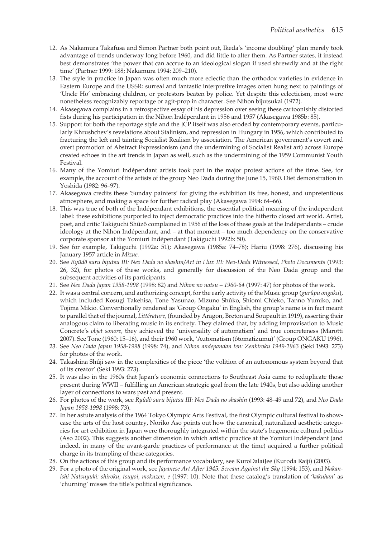- 12. As Nakamura Takafusa and Simon Partner both point out, Ikeda's 'income doubling' plan merely took advantage of trends underway long before 1960, and did little to alter them. As Partner states, it instead best demonstrates 'the power that can accrue to an ideological slogan if used shrewdly and at the right time' (Partner 1999: 188; Nakamura 1994: 209–210).
- 13. The style in practice in Japan was often much more eclectic than the orthodox varieties in evidence in Eastern Europe and the USSR: surreal and fantastic interpretive images often hung next to paintings of 'Uncle Ho' embracing children, or protestors beaten by police. Yet despite this eclecticism, most were nonetheless recognizably reportage or agit-prop in character. See Nihon bijutsukai (1972).
- 14. Akasegawa complains in a retrospective essay of his depression over seeing these cartoonishly distorted fists during his participation in the Nihon Indépendant in 1956 and 1957 (Akasegawa 1985b: 85).
- 15. Support for both the reportage style and the JCP itself was also eroded by contemporary events, particularly Khrushchev's revelations about Stalinism, and repression in Hungary in 1956, which contributed to fracturing the left and tainting Socialist Realism by association. The American government's covert and overt promotion of Abstract Expressionism (and the undermining of Socialist Realist art) across Europe created echoes in the art trends in Japan as well, such as the undermining of the 1959 Communist Youth Festival.
- 16. Many of the Yomiuri Indépendant artists took part in the major protest actions of the time. See, for example, the account of the artists of the group Neo Dada during the June 15, 1960. Diet demonstration in Yoshida (1982: 96–97).
- 17. Akasegawa credits these 'Sunday painters' for giving the exhibition its free, honest, and unpretentious atmosphere, and making a space for further radical play (Akasegawa 1994: 64–66).
- 18. This was true of both of the Indépendant exhibitions, the essential political meaning of the independent label: these exhibitions purported to inject democratic practices into the hitherto closed art world. Artist, poet, and critic Takiguchi Shûzô complained in 1956 of the loss of these goals at the Indépendants – crude ideology at the Nihon Indépendant, and – at that moment – too much dependency on the conservative corporate sponsor at the Yomiuri Indépendant (Takiguchi 1992b: 50).
- 19. See for example, Takiguchi (1992a: 51); Akasegawa (1985a: 74–78); Hariu (1998: 276), discussing his January 1957 article in *Mizue.*
- 20. See *Ryûdô suru bijutsu III: Neo Dada no shashin/Art in Flux III: Neo-Dada Witnessed, Photo Documents* (1993: 26, 32), for photos of these works, and generally for discussion of the Neo Dada group and the subsequent activities of its participants.
- 21. See *Neo Dada Japan 1958-1998* (1998: 82) and *Nihon no natsu 1960-64* (1997: 47) for photos of the work.
- 22. It was a central concern, and authorizing concept, for the early activity of the Music group (*gurûpu ongaku*), which included Kosugi Takehisa, Tone Yasunao, Mizuno Shûko, Shiomi Chieko, Tanno Yumiko, and Tojima Mikio. Conventionally rendered as 'Group Ongaku' in English, the group's name is in fact meant to parallel that of the journal, *Littérature,* (founded by Aragon, Breton and Soupault in 1919), asserting their analogous claim to liberating music in its entirety. They claimed that, by adding improvisation to Music Concrete's *objet sonore,* they achieved the 'universality of automatism' and true concreteness (Marotti 2007). See Tone (1960: 15–16), and their 1960 work, 'Automatism (ôtomatizumu)' (Group ONGAKU 1996).
- 23. See *Neo Dada Japan 1958-1998* (1998: 74), and *Nihon andepandan ten: Zenkiroku 1949-1963* (Seki 1993: 273) for photos of the work.
- 24. Takashina Shûji saw in the complexities of the piece 'the volition of an autonomous system beyond that of its creator' (Seki 1993: 273).
- 25. It was also in the 1960s that Japan's economic connections to Southeast Asia came to reduplicate those present during WWII – fulfilling an American strategic goal from the late 1940s, but also adding another layer of connections to wars past and present.
- 26. For photos of the work, see *Ryûdô suru bijutsu III: Neo Dada no shashin* (1993: 48–49 and 72), and *Neo Dada Japan 1958-1998* (1998: 73).
- 27. In her astute analysis of the 1964 Tokyo Olympic Arts Festival, the first Olympic cultural festival to showcase the arts of the host country, Noriko Aso points out how the canonical, naturalized aesthetic categories for art exhibition in Japan were thoroughly integrated within the state's hegemonic cultural politics (Aso 2002). This suggests another dimension in which artistic practice at the Yomiuri Indépendant (and indeed, in many of the avant-garde practices of performance at the time) acquired a further political charge in its trampling of these categories.
- 28. On the actions of this group and its performance vocabulary, see KuroDalaiJee (Kuroda Raiji) (2003).
- 29. For a photo of the original work, see *Japanese Art After 1945: Scream Against the Sky* (1994: 153), and *Nakanishi Natsuyuki: shiroku, tsuyoi, mokuzen, e* (1997: 10). Note that these catalog's translation of '*kakuhan*' as 'churning' misses the title's political significance.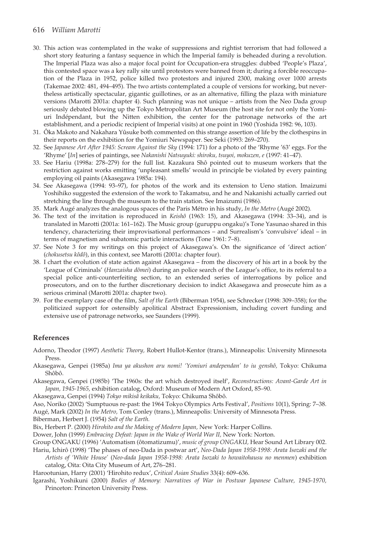- 30. This action was contemplated in the wake of suppressions and rightist terrorism that had followed a short story featuring a fantasy sequence in which the Imperial family is beheaded during a revolution. The Imperial Plaza was also a major focal point for Occupation-era struggles: dubbed 'People's Plaza', this contested space was a key rally site until protestors were banned from it; during a forcible reoccupation of the Plaza in 1952, police killed two protestors and injured 2300, making over 1000 arrests (Takemae 2002: 481, 494–495). The two artists contemplated a couple of versions for working, but nevertheless artistically spectacular, gigantic guillotines, or as an alternative, filling the plaza with miniature versions (Marotti 2001a: chapter 4). Such planning was not unique – artists from the Neo Dada group seriously debated blowing up the Tokyo Metropolitan Art Museum (the host site for not only the Yomiuri Indépendant, but the Nitten exhibition, the center for the patronage networks of the art establishment, and a periodic recipient of Imperial visits) at one point in 1960 (Yoshida 1982: 96, 103).
- 31. Ôka Makoto and Nakahara Yûsuke both commented on this strange assertion of life by the clothespins in their reports on the exhibition for the Yomiuri Newspaper. See Seki (1993: 269–270).
- 32. See *Japanese Art After 1945: Scream Against the Sky* (1994: 171) for a photo of the 'Rhyme '63' eggs. For the 'Rhyme' [*In*] series of paintings, see *Nakanishi Natsuyuki: shiroku, tsuyoi, mokuzen, e* (1997: 41–47).
- 33. See Hariu (1998a: 278–279) for the full list. Kazakura Shô pointed out to museum workers that the restriction against works emitting 'unpleasant smells' would in principle be violated by every painting employing oil paints (Akasegawa 1985a: 194).
- 34. See Akasegawa (1994: 93–97), for photos of the work and its extension to Ueno station. Imaizumi Yoshihiko suggested the extension of the work to Takamatsu, and he and Nakanishi actually carried out stretching the line through the museum to the train station. See Imaizumi (1986).
- 35. Mark Augé analyzes the analogous spaces of the Paris Métro in his study, *In the Metro* (Augé 2002).
- 36. The text of the invitation is reproduced in *Keishô* (1963: 15), and Akasegawa (1994: 33–34), and is translated in Marotti (2001a: 161–162). The Music group (guruppu ongaku)'s Tone Yasunao shared in this tendency, characterizing their improvisational performances – and Surrealism's 'convulsive' ideal – in terms of magnetism and subatomic particle interactions (Tone 1961: 7–8).
- 37. See Note 3 for my writings on this project of Akasegawa's. On the significance of 'direct action' (*chokusetsu kôdô*), in this context, see Marotti (2001a: chapter four).
- 38. I chart the evolution of state action against Akasegawa from the discovery of his art in a book by the 'League of Criminals' (*Hanzaisha dômei*) during an police search of the League's office, to its referral to a special police anti-counterfeiting section, to an extended series of interrogations by police and prosecutors, and on to the further discretionary decision to indict Akasegawa and prosecute him as a serious criminal (Marotti 2001a: chapter two).
- 39. For the exemplary case of the film, *Salt of the Earth* (Biberman 1954), see Schrecker (1998: 309–358); for the politicized support for ostensibly apolitical Abstract Expressionism, including covert funding and extensive use of patronage networks, see Saunders (1999).

#### **References**

- Adorno, Theodor (1997) *Aesthetic Theory,* Robert Hullot-Kentor (trans.), Minneapolis: University Minnesota Press.
- Akasegawa, Genpei (1985a) *Ima ya akushon aru nomi! 'Yomiuri andependan' to iu genshô,* Tokyo: Chikuma Shôbô.
- Akasegawa, Genpei (1985b) 'The 1960s: the art which destroyed itself', *Reconstructions: Avant-Garde Art in Japan, 1945-1965,* exhibition catalog, Oxford: Museum of Modern Art Oxford, 85–90.
- Akasegawa, Genpei (1994) *Tokyo mikisâ keikaku,* Tokyo: Chikuma Shôbô.
- Aso, Noriko (2002) 'Sumptuous re-past: the 1964 Tokyo Olympics Arts Festival', *Positions* 10(1), Spring: 7–38.

Augé, Mark (2002) *In the Metro,* Tom Conley (trans.), Minneapolis: University of Minnesota Press.

- Biberman, Herbert J. (1954) *Salt of the Earth.*
- Bix, Herbert P. (2000) *Hirohito and the Making of Modern Japan,* New York: Harper Collins.
- Dower, John (1999) *Embracing Defeat: Japan in the Wake of World War II,* New York: Norton.
- Group ONGAKU (1996) 'Automatism (ôtomatizumu)', *music of group ONGAKU,* Hear Sound Art Library 002.
- Hariu, Ichirô (1998) 'The phases of neo-Dada in postwar art', *Neo-Dada Japan 1958-1998: Arata Isozaki and the Artists of 'White House'* (*Neo-dada Japan 1958-1998: Arata Isozaki to howaitohausu no menmen*) exhibition catalog, Oita: Oita City Museum of Art, 276–281.
- Harootunian, Harry (2001) 'Hirohito redux', *Critical Asian Studies* 33(4): 609–636.
- Igarashi, Yoshikuni (2000) *Bodies of Memory: Narratives of War in Postwar Japanese Culture, 1945-1970,* Princeton: Princeton University Press.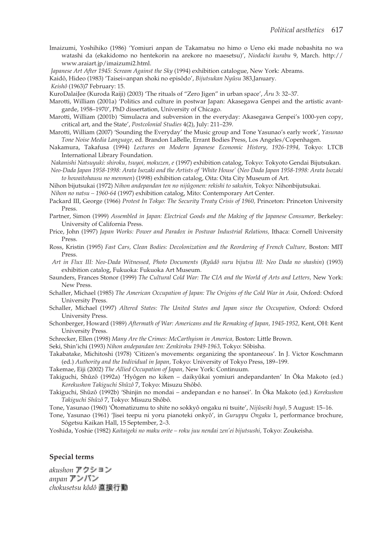- Imaizumi, Yoshihiko (1986) 'Yomiuri anpan de Takamatsu no himo o Ueno eki made nobashita no wa watashi da (ekakidomo no hentekorin na arekore no maesetsu)', *Niodachi kurabu* 9, March. http:// www.araiart.jp/imaizumi2.html.
- *Japanese Art After 1945: Scream Against the Sky* (1994) exhibition catalogue, New York: Abrams.

Kaidô, Hideo (1983) 'Taisei=anpan shoki no episôdo', *Bijutsukan Nyûsu* 383,January.

```
 Keishô (1963)7 February: 15.
```
KuroDalaiJee (Kuroda Raiji) (2003) 'The rituals of "Zero Jigen" in urban space', *Âru* 3: 32–37.

- Marotti, William (2001a) 'Politics and culture in postwar Japan: Akasegawa Genpei and the artistic avantgarde, 1958–1970', PhD dissertation, University of Chicago.
- Marotti, William (2001b) 'Simulacra and subversion in the everyday: Akasegawa Genpei's 1000-yen copy, critical art, and the State', *Postcolonial Studies* 4(2), July: 211–239.
- Marotti, William (2007) 'Sounding the Everyday' the Music group and Tone Yasunao's early work', *Yasunao Tone Noise Media Language,* ed. Brandon LaBelle, Errant Bodies Press, Los Angeles/Copenhagen.
- Nakamura, Takafusa (1994) *Lectures on Modern Japanese Economic History, 1926-1994,* Tokyo: LTCB International Library Foundation.

 *Nakanishi Natsuyuki: shiroku, tsuyoi, mokuzen, e* (1997) exhibition catalog, Tokyo: Tokyoto Gendai Bijutsukan.

- *Neo-Dada Japan 1958-1998: Arata Isozaki and the Artists of 'White House'* (*Neo Dada Japan 1958-1998: Arata Isozaki to howaitohausu no menmen*) (1998) exhibition catalog, Oita: Oita City Museum of Art.
- Nihon bijutsukai (1972) *Nihon andepandan ten no nijûgonen: rekishi to sakuhin,* Tokyo: Nihonbijutsukai.

 *Nihon no natsu – 1960-64* (1997) exhibition catalog, Mito: Contemporary Art Center.

- Packard III, George (1966) *Protest In Tokyo: The Security Treaty Crisis of 1960,* Princeton: Princeton University Press.
- Partner, Simon (1999) *Assembled in Japan: Electrical Goods and the Making of the Japanese Consumer,* Berkeley: University of California Press.
- Price, John (1997) *Japan Works: Power and Paradox in Postwar Industrial Relations,* Ithaca: Cornell University Press.
- Ross, Kristin (1995) *Fast Cars, Clean Bodies: Decolonization and the Reordering of French Culture,* Boston: MIT Press.
- *Art in Flux III: Neo-Dada Witnessed, Photo Documents* (*Ryûdô suru bijutsu III: Neo Dada no shashin*) (1993) exhibition catalog, Fukuoka: Fukuoka Art Museum.
- Saunders, Frances Stonor (1999) *The Cultural Cold War: The CIA and the World of Arts and Letters,* New York: New Press.
- Schaller, Michael (1985) *The American Occupation of Japan: The Origins of the Cold War in Asia,* Oxford: Oxford University Press.
- Schaller, Michael (1997) *Altered States: The United States and Japan since the Occupation,* Oxford: Oxford University Press.
- Schonberger, Howard (1989) *Aftermath of War: Americans and the Remaking of Japan, 1945-1952,* Kent, OH: Kent University Press.
- Schrecker, Ellen (1998) *Many Are the Crimes: McCarthyism in America,* Boston: Little Brown.
- Seki, Shin'ichi (1993) *Nihon andepandan ten: Zenkiroku 1949-1963,* Tokyo: Sôbisha.
- Takabatake, Michitoshi (1978) 'Citizen's movements: organizing the spontaneous'. In J. Victor Koschmann (ed.) *Authority and the Individual in Japan,* Tokyo: University of Tokyo Press, 189–199.

Takemae, Eiji (2002) *The Allied Occupation of Japan,* New York: Continuum.

Takiguchi, Shûzô (1992a) 'Hyôgen no kiken – daikyûkai yomiuri andepandanten' In Ôka Makoto (ed.) *Korekushon Takiguchi Shûzô* 7, Tokyo: Misuzu Shôbô.

- Takiguchi, Shûzô (1992b) 'Shinjin no mondai andepandan e no hansei'. In Ôka Makoto (ed.) *Korekushon Takiguchi Shûzô* 7, Tokyo: Misuzu Shôbô.
- Tone, Yasunao (1960) 'Ôtomatizumu to shite no sokkyô ongaku ni tsuite', *Nijûseiki buyô,* 5 August: 15–16.

Tone, Yasunao (1961) 'Jisei teepu ni yoru pianoteki onkyô', in *Guruppu Ongaku* 1, performance brochure, Sôgetsu Kaikan Hall, 15 September, 2–3.

Yoshida, Yoshie (1982) *Kaitaigeki no maku orite – roku juu nendai zen'ei bijutsushi,* Tokyo: Zoukeisha.

#### **Special terms**

*akushon anpan*  $\mathbb{F}$   $\geq$   $\mathbb{N}$   $\geq$ *chokusetsu kôdô*